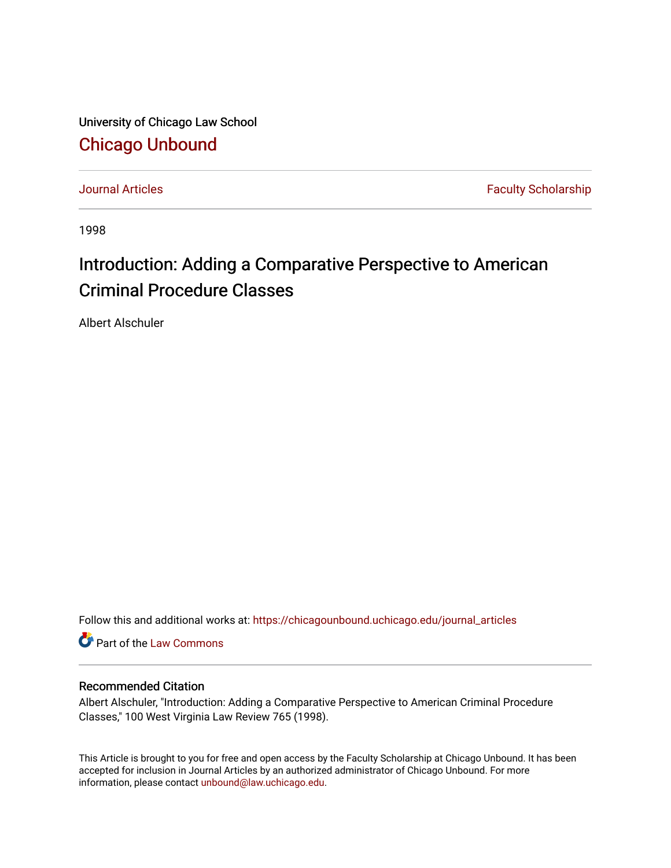University of Chicago Law School [Chicago Unbound](https://chicagounbound.uchicago.edu/)

[Journal Articles](https://chicagounbound.uchicago.edu/journal_articles) **Faculty Scholarship Faculty Scholarship** 

1998

# Introduction: Adding a Comparative Perspective to American Criminal Procedure Classes

Albert Alschuler

Follow this and additional works at: [https://chicagounbound.uchicago.edu/journal\\_articles](https://chicagounbound.uchicago.edu/journal_articles?utm_source=chicagounbound.uchicago.edu%2Fjournal_articles%2F3001&utm_medium=PDF&utm_campaign=PDFCoverPages) 

Part of the [Law Commons](http://network.bepress.com/hgg/discipline/578?utm_source=chicagounbound.uchicago.edu%2Fjournal_articles%2F3001&utm_medium=PDF&utm_campaign=PDFCoverPages)

### Recommended Citation

Albert Alschuler, "Introduction: Adding a Comparative Perspective to American Criminal Procedure Classes," 100 West Virginia Law Review 765 (1998).

This Article is brought to you for free and open access by the Faculty Scholarship at Chicago Unbound. It has been accepted for inclusion in Journal Articles by an authorized administrator of Chicago Unbound. For more information, please contact [unbound@law.uchicago.edu](mailto:unbound@law.uchicago.edu).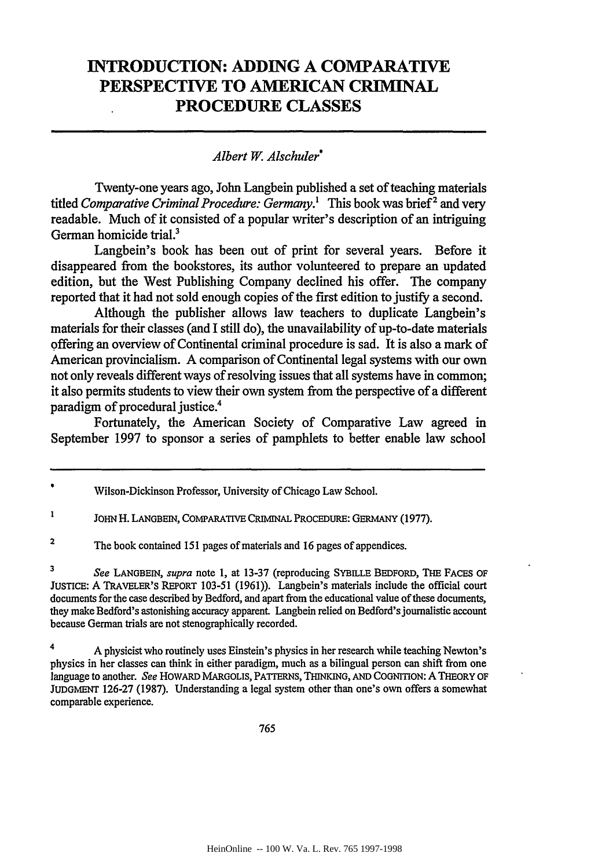## **INTRODUCTION: ADDING A COMPARATIVE PERSPECTIVE TO AMERICAN CRIMINAL PROCEDURE CLASSES**

#### *Albert W. Alschuler\**

Twenty-one years ago, John Langbein published a set of teaching materials titled *Comparative Criminal Procedure: Germany*.<sup>1</sup> This book was brief<sup>2</sup> and very readable. Much of it consisted of a popular writer's description of an intriguing German homicide trial.<sup>3</sup>

Langbein's book has been out of print for several years. Before it disappeared from the bookstores, its author volunteered to prepare an updated edition, but the West Publishing Company declined his offer. The company reported that it had not sold enough copies of the first edition to justify a second.

Although the publisher allows law teachers to duplicate Langbein's materials for their classes (and I still do), the unavailability of up-to-date materials offering an overview of Continental criminal procedure is sad. It is also a mark of American provincialism. A comparison of Continental legal systems with our own not only reveals different ways of resolving issues that all systems have in common; it also permits students to view their own system from the perspective of a different paradigm of procedural justice.4

Fortunately, the American Society of Comparative Law agreed in September 1997 to sponsor a series of pamphlets to better enable law school

*3 See* **LANGBEIN,** *supra* note **1,** at 13-37 (reproducing SYBILLE **BEDFORD, THE FACES OF JUSTICE:** A TRAVELER'S **REPORT** 103-51 (1961)). Langbein's materials include the official court documents for the case described by Bedford, and apart from the educational value of these documents, they make Bedford's astonishing accuracy apparent. Langbein relied on Bedford's journalistic account because German trials are not stenographically recorded.

4 A physicist who routinely uses Einstein's physics in her research while teaching Newton's physics in her classes can think in either paradigm, much as a bilingual person can shift from one language to another. *See* **HOWARD** MARGOLIS, PATTERNS, **THINKING, AND COGNITION:** A THEORY **OF JUDGMENT** 126-27 (1987). Understanding a legal system other than one's own offers a somewhat comparable experience.

765

Wilson-Dickinson Professor, University of Chicago Law School.

 $\mathbf{I}$ **JOHN** H. **LANGBEIN, COMPARATIVE** CRIMINAL PROCEDURE: GERMANY (1977).

**<sup>2</sup>** The book contained 151 pages of materials and 16 pages of appendices.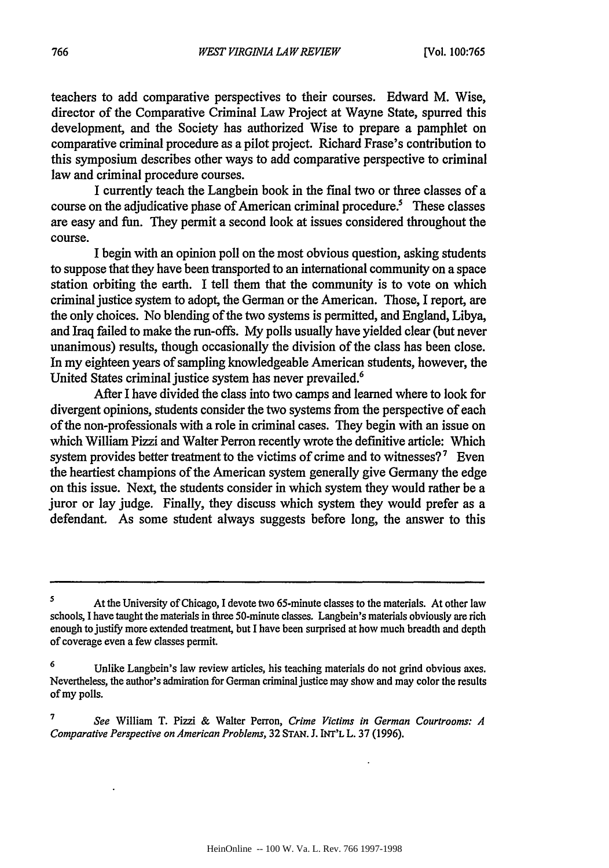teachers to add comparative perspectives to their courses. Edward M. Wise, director of the Comparative Criminal Law Project at Wayne State, spurred this development, and the Society has authorized Wise to prepare a pamphlet on comparative criminal procedure as a pilot project. Richard Frase's contribution to this symposium describes other ways to add comparative perspective to criminal law and criminal procedure courses.

I currently teach the Langbein book in the final two or three classes of a course on the adjudicative phase of American criminal procedure.<sup>5</sup> These classes are easy and fun. They permit a second look at issues considered throughout the course.

I begin with an opinion poll on the most obvious question, asking students to suppose that they have been transported to an international community on a space station orbiting the earth. I tell them that the community is to vote on which criminal justice system to adopt, the German or the American. Those, I report, are the only choices. No blending of the two systems is permitted, and England, Libya, and Iraq failed to make the run-offs. My polls usually have yielded clear (but never unanimous) results, though occasionally the division of the class has been close. In my eighteen years of sampling knowledgeable American students, however, the United States criminal justice system has never prevailed.<sup>6</sup>

After I have divided the class into two camps and learned where to look for divergent opinions, students consider the two systems from the perspective of each of the non-professionals with a role in criminal cases. They begin with an issue on which William Pizzi and Walter Perron recently wrote the definitive article: Which system provides better treatment to the victims of crime and to witnesses?<sup>7</sup> Even the heartiest champions of the American system generally give Germany the edge on this issue. Next, the students consider in which system they would rather be a juror or lay judge. Finally, they discuss which system they would prefer as a defendant. As some student always suggests before long, the answer to this

<sup>&</sup>lt;sup>5</sup> At the University of Chicago, I devote two 65-minute classes to the materials. At other law schools, I have taught the materials in three 50-minute classes. Langbein's materials obviously are rich enough to justify more extended treatment, but I have been surprised at how much breadth and depth of coverage even a few classes permit.

**<sup>6</sup>** Unlike Langbein's law review articles, his teaching materials do not grind obvious axes. Nevertheless, the author's admiration for German criminal justice may show and may color the results of my polls.

*<sup>7</sup>See* William T. Pizzi & Walter Perron, *Crime Victims in German Courtrooms: A Comparative Perspective on American Problems,* 32 STAN. J. INT'L L. 37 (1996).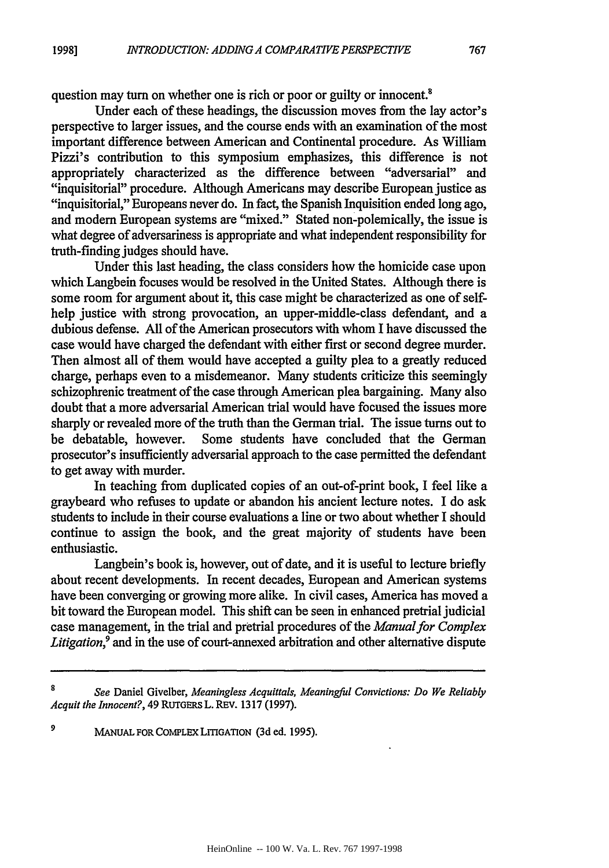question may turn on whether one is rich or poor or guilty or innocent.<sup>8</sup>

Under each of these headings, the discussion moves from the lay actor's perspective to larger issues, and the course ends with an examination of the most important difference between American and Continental procedure. As William Pizzi's contribution to this symposium emphasizes, this difference is not appropriately characterized as the difference between "adversarial" and "inquisitorial" procedure. Although Americans may describe European justice as "inquisitorial," Europeans never do. In fact, the Spanish Inquisition ended long ago, and modem European systems are "mixed." Stated non-polemically, the issue is what degree of adversariness is appropriate and what independent responsibility for truth-finding judges should have.

Under this last heading, the class considers how the homicide case upon which Langbein focuses would be resolved in the United States. Although there is some room for argument about it, this case might be characterized as one of selfhelp justice with strong provocation, an upper-middle-class defendant, and a dubious defense. All of the American prosecutors with whom I have discussed the case would have charged the defendant with either first or second degree murder. Then almost all of them would have accepted a guilty plea to a greatly reduced charge, perhaps even to a misdemeanor. Many students criticize this seemingly schizophrenic treatment of the case through American plea bargaining. Many also doubt that a more adversarial American trial would have focused the issues more sharply or revealed more of the truth than the German trial. The issue turns out to be debatable, however. Some students have concluded that the German prosecutor's insufficiently adversarial approach to the case permitted the defendant to get away with murder.

In teaching from duplicated copies of an out-of-print book, I feel like a graybeard who refuses to update or abandon his ancient lecture notes. I do ask students to include in their course evaluations a line or two about whether I should continue to assign the book, and the great majority of students have been enthusiastic.

Langbein's book is, however, out of date, and it is useful to lecture briefly about recent developments. In recent decades, European and American systems have been converging or growing more alike. In civil cases, America has moved a bit toward the European model. This shift can be seen in enhanced pretrial judicial case management, in the trial and pretrial procedures of the *Manual for Complex Litigation,9* and in the use of court-annexed arbitration and other alternative dispute

*9* MANUAL FOR **COMPLEX LITIGATION (3d** ed. 1995).

767

See Daniel Givelber, Meaningless Acquittals, Meaningful Convictions: Do We Reliably *Acquit the Innocent?,* 49 RUTGERS L. REV. 1317 (1997).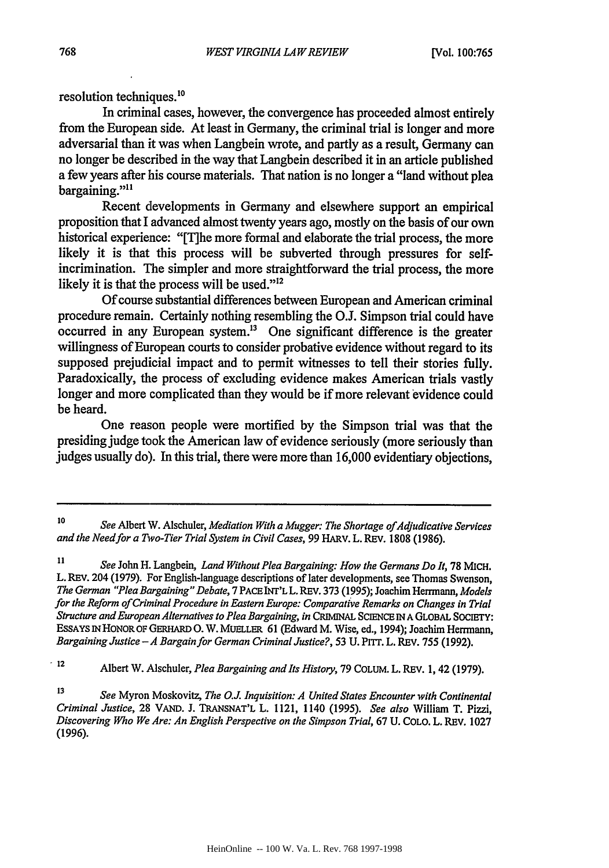### resolution techniques.<sup>10</sup>

In criminal cases, however, the convergence has proceeded almost entirely from the European side. At least in Germany, the criminal trial is longer and more adversarial than it was when Langbein wrote, and partly as a result, Germany can no longer be described in the way that Langbein described it in an article published a few years after his course materials. That nation is no longer a "land without plea bargaining."<sup>11</sup>

Recent developments in Germany and elsewhere support an empirical proposition that I advanced almost twenty years ago, mostly on the basis of our own historical experience: "[T]he more formal and elaborate the trial process, the more likely it is that this process will be subverted through pressures for selfincrimination. The simpler and more straightforward the trial process, the more likely it is that the process will be used."<sup>12</sup>

Of course substantial differences between European and American criminal procedure remain. Certainly nothing resembling the O.J. Simpson trial could have  $\alpha$  occurred in any European system.<sup>13</sup> One significant difference is the greater willingness of European courts to consider probative evidence without regard to its supposed prejudicial impact and to permit witnesses to tell their stories fully. Paradoxically, the process of excluding evidence makes American trials vastly longer and more complicated than they would be if more relevant evidence could be heard.

One reason people were mortified by the Simpson trial was that the presiding judge took the American law of evidence seriously (more seriously than judges usually do). In this trial, there were more than 16,000 evidentiary objections,

**<sup>12</sup>**Albert W. Alschuler, *Plea Bargaining and Its History,* **79 COLUM.** L. REV. **1,** 42 **(1979).**

**<sup>13</sup>***See* Myron Moskovitz, *The O.J. Inquisition: A United States Encounter with Continental Criminal Justice,* **28** VAND. J. TRANSNAT'L L. 1121, 1140 (1995). *See also* William T. Pizzi, *Discovering Who We Are: An English Perspective on the Simpson Trial,* 67 U. COLO. L. REv. 1027 (1996).

**<sup>10</sup>***See* Albert W. Alschuler, *Mediation With a Mugger: The Shortage of.Adjudicative Services and the Need for a Two-Tier Trial System in Civil Cases,* 99 HARV. L. REv. 1808 (1986).

**<sup>11</sup>***See* John H. Langbein, *Land Without Plea Bargaining: How the Germans Do It,* 78 MICH. L. REV. 204 (1979). For English-language descriptions of later developments, see Thomas Swenson, *The German "Plea Bargaining" Debate,* 7 PACE INr'L L. REV. 373 (1995); Joachim Herrmann, *Models for the Reform of Criminal Procedure in Eastern Europe: Comparative Remarks on Changes in Trial Structure and European Alternatives to Plea Bargaining, in* **CRIMINAL** SCIENCE *IN* A GLOBAL SOCIETY: ESSAYS IN HONOR OF GERHARD O. W. MUELLER 61 (Edward M. Wise, ed., 1994); Joachim Herrmann, *Bargaining Justice -A Bargain for German Criminal Justice?,* **53 U.** PITT. L. REV. **755 (1992).**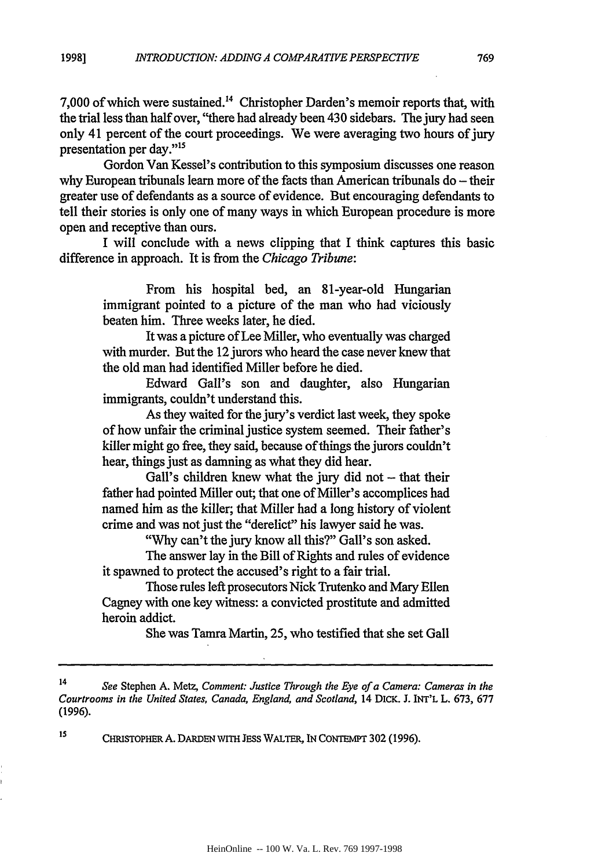**1998]**

**7,000** of which were sustained. 4 Christopher Darden's memoir reports that, with the trial less than half over, "there had already been 430 sidebars. The jury had seen only 41 percent of the court proceedings. We were averaging two hours of jury presentation per day."<sup>15</sup>

Gordon Van Kessel's contribution to this symposium discusses one reason why European tribunals learn more of the facts than American tribunals do – their greater use of defendants as a source of evidence. But encouraging defendants to tell their stories is only one of many ways in which European procedure is more open and receptive than ours.

I will conclude with a news clipping that I think captures this basic difference in approach. It is from the *Chicago Tribune:*

From his hospital bed, an 81-year-old Hungarian immigrant pointed to a picture of the man who had viciously beaten him. Three weeks later, he died.

It was a picture of Lee Miller, who eventually was charged with murder. But the 12 jurors who heard the case never knew that the old man had identified Miller before he died.

Edward Gall's son and daughter, also Hungarian immigrants, couldn't understand this.

As they waited for the jury's verdict last week, they spoke of how unfair the criminal justice system seemed. Their father's killer might go free, they said, because of things the jurors couldn't hear, things just as damning as what they did hear.

Gall's children knew what the jury did not  $-$  that their father had pointed Miller out; that one of Miller's accomplices had named him as the killer; that Miller had a long history of violent crime and was not just the "derelict" his lawyer said he was.

"Why can't the jury know all this?" Gall's son asked.

The answer lay in the Bill of Rights and rules of evidence it spawned to protect the accused's right to a fair trial.

Those rules left prosecutors Nick Trutenko and Mary Ellen Cagney with one key witness: a convicted prostitute and admitted heroin addict.

She was Tamra Martin, 25, who testified that she set Gall

**is CHRIsTOPHER A. DARDEN** WITH JESs WALTER, **IN** CONTEMPT 302 (1996).

<sup>14</sup>*See* Stephen A. Metz, *Comment: Justice Through the Eye of a Camera: Cameras in the Courtrooms in the United States, Canada, England, and Scotland,* 14 DICK. **J.** INT'L L. 673, 677 (1996).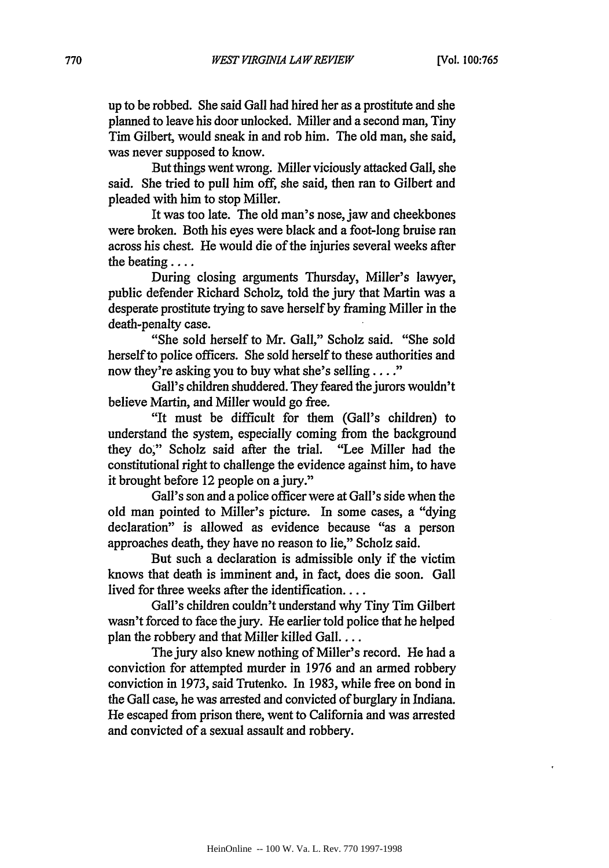up to be robbed. She said Gall had hired her as a prostitute and she planned to leave his door unlocked. Miller and a second man, Tiny Tim Gilbert, would sneak in and rob him. The old man, she said, was never supposed to know.

But things went wrong. Miller viciously attacked Gall, she said. She tried to pull him off, she said, then ran to Gilbert and pleaded with him to stop Miller.

It was too late. The old man's nose, jaw and cheekbones were broken. Both his eyes were black and a foot-long bruise ran across his chest. He would die of the injuries several weeks after the beating ....

During closing arguments Thursday, Miller's lawyer, public defender Richard Scholz, told the jury that Martin was a desperate prostitute trying to save herself by framing Miller in the death-penalty case.

"She sold herself to Mr. Gall," Scholz said. "She sold herself to police officers. She sold herself to these authorities and now they're asking you to buy what she's selling...."

Gall's children shuddered. They feared the jurors wouldn't believe Martin, and Miller would go free.

"It must be difficult for them (Gall's children) to understand the system, especially coming from the background they do," Scholz said after the trial. "Lee Miller had the constitutional right to challenge the evidence against him, to have it brought before 12 people on a jury."

Gall's son and a police officer were at Gall's side when the old man pointed to Miller's picture. In some cases, a "dying declaration" is allowed as evidence because "as a person approaches death, they have no reason to lie," Scholz said.

But such a declaration is admissible only if the victim knows that death is imminent and, in fact, does die soon. Gall lived for three weeks after the identification....

Gall's children couldn't understand why Tiny Tim Gilbert wasn't forced to face the jury. He earlier told police that he helped plan the robbery and that Miller killed Gall....

The jury also knew nothing of Miller's record. He had a conviction for attempted murder in 1976 and an armed robbery conviction in 1973, said Trutenko. In 1983, while free on bond in the Gall case, he was arrested and convicted of burglary in Indiana. He escaped from prison there, went to California and was arrested and convicted of a sexual assault and robbery.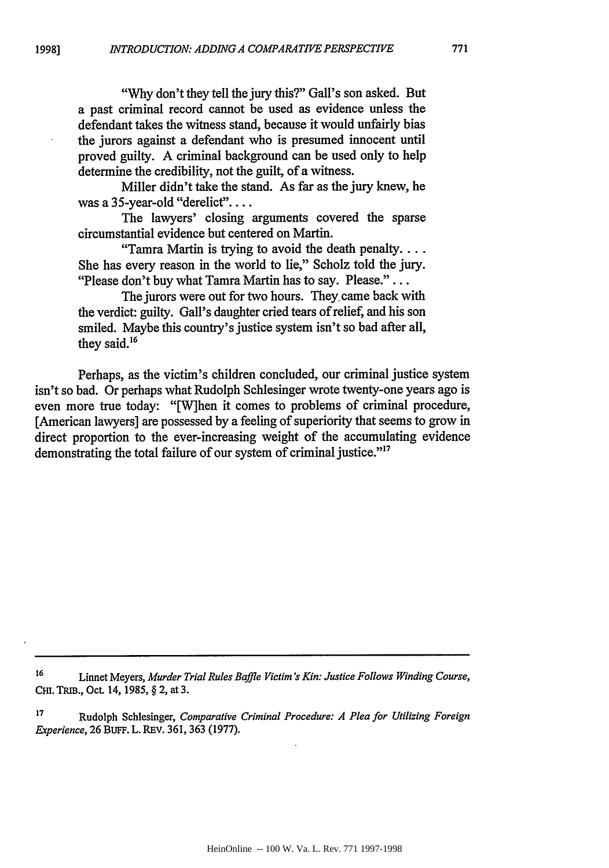**1998]**

"Why don't they tell the jury this?" Gall's son asked. But a past criminal record cannot be used as evidence unless the defendant takes the witness stand, because it would unfairly bias the jurors against a defendant who is presumed innocent until proved guilty. A criminal background can be used only to help determine the credibility, not the guilt, of a witness.

Miller didn't take the stand. As far as the jury knew, he was a 35-year-old "derelict"....

The lawyers' closing arguments covered the sparse circumstantial evidence but centered on Martin.

"Tamra Martin is trying to avoid the death penalty.... She has every reason in the world to lie," Scholz told the jury. "Please don't buy what Tamra Martin has to say. Please."...

The jurors were out for two hours. They came back with the verdict: guilty. Gall's daughter cried tears of relief, and his son smiled. Maybe this country's justice system isn't so bad after all, they said.<sup>16</sup>

Perhaps, as the victim's children concluded, our criminal justice system isn't so bad. Or perhaps what Rudolph Schlesinger wrote twenty-one years ago is even more true today: "[W]hen it comes to problems of criminal procedure, [American lawyers] are possessed by a feeling of superiority that seems to grow in direct proportion to the ever-increasing weight of the accumulating evidence demonstrating the total failure of our system of criminal justice."<sup>17</sup>

**<sup>16</sup>**Linnet Meyers, *Murder Trial Rules Baffle Victim's Kin: Justice Follows Winding Course,* **CHi.** TRm., Oct. 14, 1985, § 2, at 3.

**<sup>17</sup>**Rudolph Schlesinger, *Comparative Criminal Procedure: A Plea for Utilizing Foreign Experience,* 26 BUFF. L. REV. 361, 363 (1977).